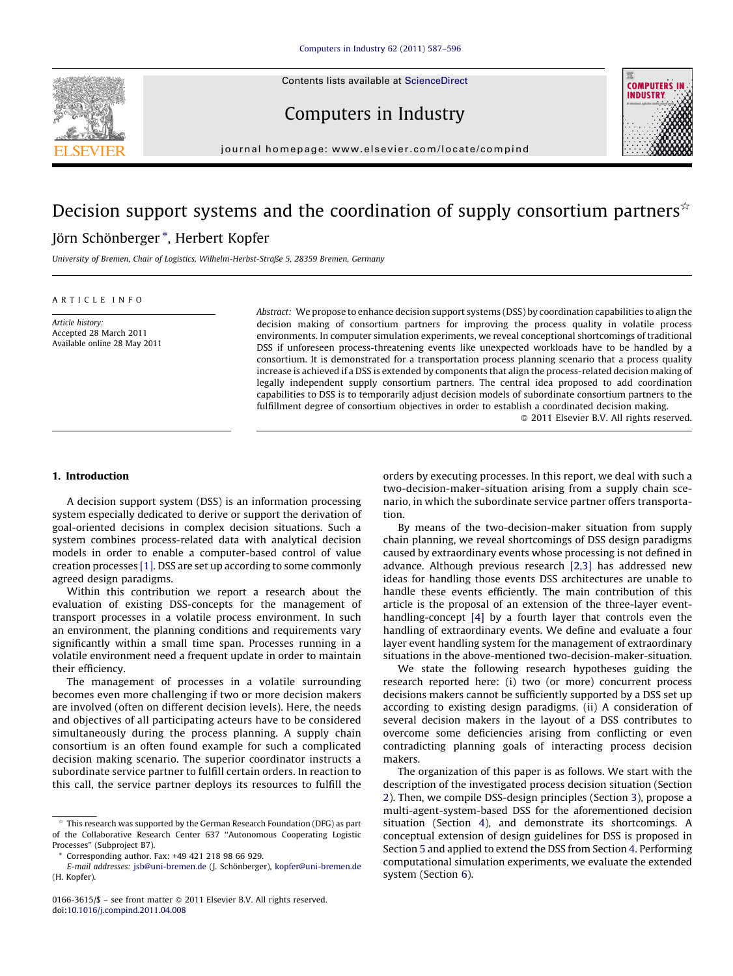Contents lists available at [ScienceDirect](http://www.sciencedirect.com/science/journal/01663615)



Computers in Industry



journal homepage: www.elsevier.com/locate/compind

# Decision support systems and the coordination of supply consortium partners<sup> $\star$ </sup>

# Jörn Schönberger \*, Herbert Kopfer

University of Bremen, Chair of Logistics, Wilhelm-Herbst-Straße 5, 28359 Bremen, Germany

#### A R T I C L E I N F O

Article history: Accepted 28 March 2011 Available online 28 May 2011 Abstract: We propose to enhance decision support systems (DSS) by coordination capabilities to align the decision making of consortium partners for improving the process quality in volatile process environments. In computer simulation experiments, we reveal conceptional shortcomings of traditional DSS if unforeseen process-threatening events like unexpected workloads have to be handled by a consortium. It is demonstrated for a transportation process planning scenario that a process quality increase is achieved if a DSS is extended by components that align the process-related decision making of legally independent supply consortium partners. The central idea proposed to add coordination capabilities to DSS is to temporarily adjust decision models of subordinate consortium partners to the fulfillment degree of consortium objectives in order to establish a coordinated decision making.

- 2011 Elsevier B.V. All rights reserved.

## 1. Introduction

A decision support system (DSS) is an information processing system especially dedicated to derive or support the derivation of goal-oriented decisions in complex decision situations. Such a system combines process-related data with analytical decision models in order to enable a computer-based control of value creation processes [\[1\].](#page--1-0) DSS are set up according to some commonly agreed design paradigms.

Within this contribution we report a research about the evaluation of existing DSS-concepts for the management of transport processes in a volatile process environment. In such an environment, the planning conditions and requirements vary significantly within a small time span. Processes running in a volatile environment need a frequent update in order to maintain their efficiency.

The management of processes in a volatile surrounding becomes even more challenging if two or more decision makers are involved (often on different decision levels). Here, the needs and objectives of all participating acteurs have to be considered simultaneously during the process planning. A supply chain consortium is an often found example for such a complicated decision making scenario. The superior coordinator instructs a subordinate service partner to fulfill certain orders. In reaction to this call, the service partner deploys its resources to fulfill the

orders by executing processes. In this report, we deal with such a two-decision-maker-situation arising from a supply chain scenario, in which the subordinate service partner offers transportation.

By means of the two-decision-maker situation from supply chain planning, we reveal shortcomings of DSS design paradigms caused by extraordinary events whose processing is not defined in advance. Although previous research [\[2,3\]](#page--1-0) has addressed new ideas for handling those events DSS architectures are unable to handle these events efficiently. The main contribution of this article is the proposal of an extension of the three-layer eventhandling-concept [\[4\]](#page--1-0) by a fourth layer that controls even the handling of extraordinary events. We define and evaluate a four layer event handling system for the management of extraordinary situations in the above-mentioned two-decision-maker-situation.

We state the following research hypotheses guiding the research reported here: (i) two (or more) concurrent process decisions makers cannot be sufficiently supported by a DSS set up according to existing design paradigms. (ii) A consideration of several decision makers in the layout of a DSS contributes to overcome some deficiencies arising from conflicting or even contradicting planning goals of interacting process decision makers.

The organization of this paper is as follows. We start with the description of the investigated process decision situation (Section [2](#page-1-0)). Then, we compile DSS-design principles (Section [3\)](#page--1-0), propose a multi-agent-system-based DSS for the aforementioned decision situation (Section [4](#page--1-0)), and demonstrate its shortcomings. A conceptual extension of design guidelines for DSS is proposed in Section [5](#page--1-0) and applied to extend the DSS from Section [4](#page--1-0). Performing computational simulation experiments, we evaluate the extended system (Section [6\)](#page--1-0).

 $\dot{\phi}$  This research was supported by the German Research Foundation (DFG) as part of the Collaborative Research Center 637 ''Autonomous Cooperating Logistic Processes'' (Subproject B7).

Corresponding author. Fax: +49 421 218 98 66 929.

E-mail addresses: [jsb@uni-bremen.de](mailto:jsb@uni-bremen.de) (J. Schönberger), [kopfer@uni-bremen.de](mailto:kopfer@uni-bremen.de) (H. Kopfer).

<sup>0166-3615/\$ –</sup> see front matter © 2011 Elsevier B.V. All rights reserved. doi:[10.1016/j.compind.2011.04.008](http://dx.doi.org/10.1016/j.compind.2011.04.008)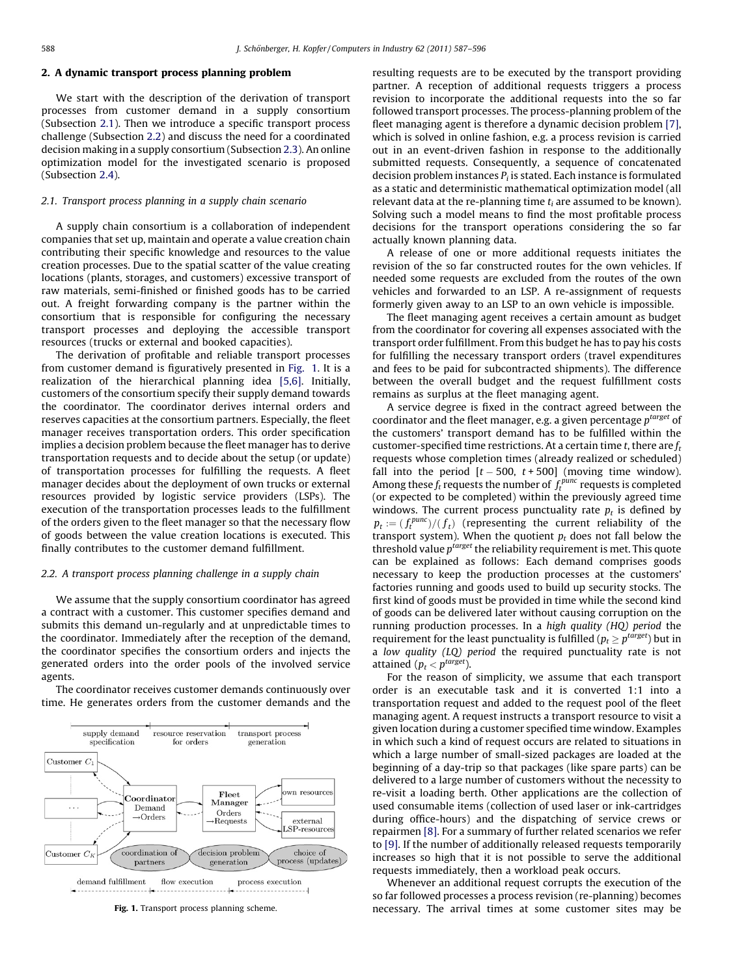#### <span id="page-1-0"></span>2. A dynamic transport process planning problem

We start with the description of the derivation of transport processes from customer demand in a supply consortium (Subsection 2.1). Then we introduce a specific transport process challenge (Subsection 2.2) and discuss the need for a coordinated decision making in a supply consortium (Subsection [2.3](#page--1-0)). An online optimization model for the investigated scenario is proposed (Subsection [2.4\)](#page--1-0).

### 2.1. Transport process planning in a supply chain scenario

A supply chain consortium is a collaboration of independent companies that set up, maintain and operate a value creation chain contributing their specific knowledge and resources to the value creation processes. Due to the spatial scatter of the value creating locations (plants, storages, and customers) excessive transport of raw materials, semi-finished or finished goods has to be carried out. A freight forwarding company is the partner within the consortium that is responsible for configuring the necessary transport processes and deploying the accessible transport resources (trucks or external and booked capacities).

The derivation of profitable and reliable transport processes from customer demand is figuratively presented in Fig. 1. It is a realization of the hierarchical planning idea [\[5,6\].](#page--1-0) Initially, customers of the consortium specify their supply demand towards the coordinator. The coordinator derives internal orders and reserves capacities at the consortium partners. Especially, the fleet manager receives transportation orders. This order specification implies a decision problem because the fleet manager has to derive transportation requests and to decide about the setup (or update) of transportation processes for fulfilling the requests. A fleet manager decides about the deployment of own trucks or external resources provided by logistic service providers (LSPs). The execution of the transportation processes leads to the fulfillment of the orders given to the fleet manager so that the necessary flow of goods between the value creation locations is executed. This finally contributes to the customer demand fulfillment.

### 2.2. A transport process planning challenge in a supply chain

We assume that the supply consortium coordinator has agreed a contract with a customer. This customer specifies demand and submits this demand un-regularly and at unpredictable times to the coordinator. Immediately after the reception of the demand, the coordinator specifies the consortium orders and injects the generated orders into the order pools of the involved service agents.

The coordinator receives customer demands continuously over time. He generates orders from the customer demands and the



resulting requests are to be executed by the transport providing partner. A reception of additional requests triggers a process revision to incorporate the additional requests into the so far followed transport processes. The process-planning problem of the fleet managing agent is therefore a dynamic decision problem [\[7\],](#page--1-0) which is solved in online fashion, e.g. a process revision is carried out in an event-driven fashion in response to the additionally submitted requests. Consequently, a sequence of concatenated decision problem instances  $P_i$  is stated. Each instance is formulated as a static and deterministic mathematical optimization model (all relevant data at the re-planning time  $t_i$  are assumed to be known). Solving such a model means to find the most profitable process decisions for the transport operations considering the so far actually known planning data.

A release of one or more additional requests initiates the revision of the so far constructed routes for the own vehicles. If needed some requests are excluded from the routes of the own vehicles and forwarded to an LSP. A re-assignment of requests formerly given away to an LSP to an own vehicle is impossible.

The fleet managing agent receives a certain amount as budget from the coordinator for covering all expenses associated with the transport order fulfillment. From this budget he has to pay his costs for fulfilling the necessary transport orders (travel expenditures and fees to be paid for subcontracted shipments). The difference between the overall budget and the request fulfillment costs remains as surplus at the fleet managing agent.

A service degree is fixed in the contract agreed between the coordinator and the fleet manager, e.g. a given percentage  $p^{target}$  of the customers' transport demand has to be fulfilled within the customer-specified time restrictions. At a certain time t, there are  $f_t$ requests whose completion times (already realized or scheduled) fall into the period  $[t - 500, t + 500]$  (moving time window). Among these  $f_t$  requests the number of  $f_t^{\,punc}$  requests is completed (or expected to be completed) within the previously agreed time windows. The current process punctuality rate  $p_t$  is defined by  $p_t := (f_t^{punc})/(f_t)$  (representing the current reliability of the transport system). When the quotient  $p_t$  does not fall below the threshold value  $p^{target}$  the reliability requirement is met. This quote can be explained as follows: Each demand comprises goods necessary to keep the production processes at the customers' factories running and goods used to build up security stocks. The first kind of goods must be provided in time while the second kind of goods can be delivered later without causing corruption on the running production processes. In a high quality (HQ) period the requirement for the least punctuality is fulfilled ( $p_t \geq p^{target}$ ) but in a low quality (LQ) period the required punctuality rate is not attained  $(p_t < p^{target})$ .

For the reason of simplicity, we assume that each transport order is an executable task and it is converted 1:1 into a transportation request and added to the request pool of the fleet managing agent. A request instructs a transport resource to visit a given location during a customer specified time window. Examples in which such a kind of request occurs are related to situations in which a large number of small-sized packages are loaded at the beginning of a day-trip so that packages (like spare parts) can be delivered to a large number of customers without the necessity to re-visit a loading berth. Other applications are the collection of used consumable items (collection of used laser or ink-cartridges during office-hours) and the dispatching of service crews or repairmen [\[8\]](#page--1-0). For a summary of further related scenarios we refer to [\[9\].](#page--1-0) If the number of additionally released requests temporarily increases so high that it is not possible to serve the additional requests immediately, then a workload peak occurs.

Whenever an additional request corrupts the execution of the so far followed processes a process revision (re-planning) becomes Fig. 1. Transport process planning scheme. The exercisary. The arrival times at some customer sites may be